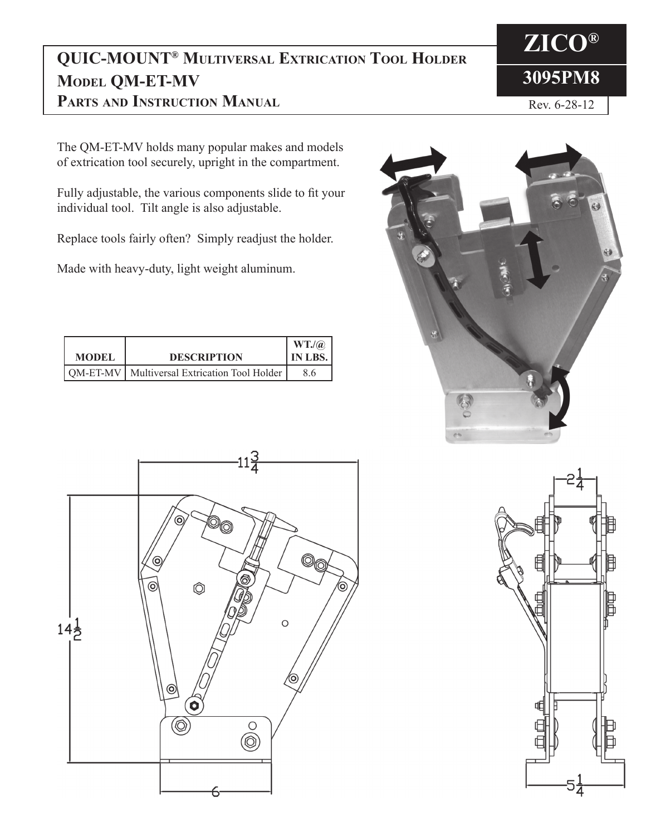## **QUIC-MOUNT® Multiversal Extrication Tool Holder Model QM-ET-MV Parts and Instruction Manual**

The QM-ET-MV holds many popular makes and models of extrication tool securely, upright in the compartment.

Fully adjustable, the various components slide to fit your individual tool. Tilt angle is also adjustable.

Replace tools fairly often? Simply readjust the holder.

Made with heavy-duty, light weight aluminum.

| <b>MODEL</b> | <b>DESCRIPTION</b>                             | WT.<br>' IN LBS. |
|--------------|------------------------------------------------|------------------|
|              | QM-ET-MV   Multiversal Extrication Tool Holder | 86               |







**ZICO®**

Rev. 6-28-12

**3095PM8**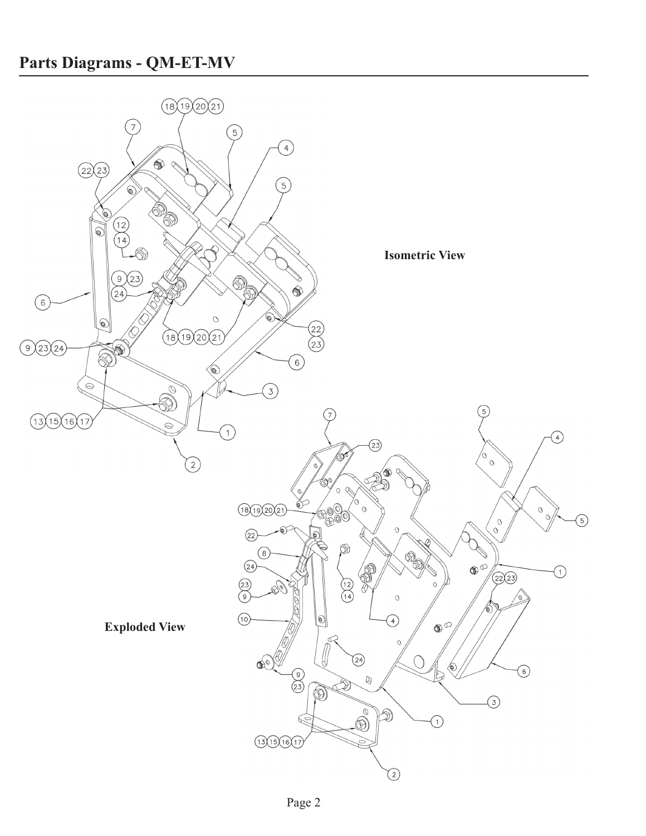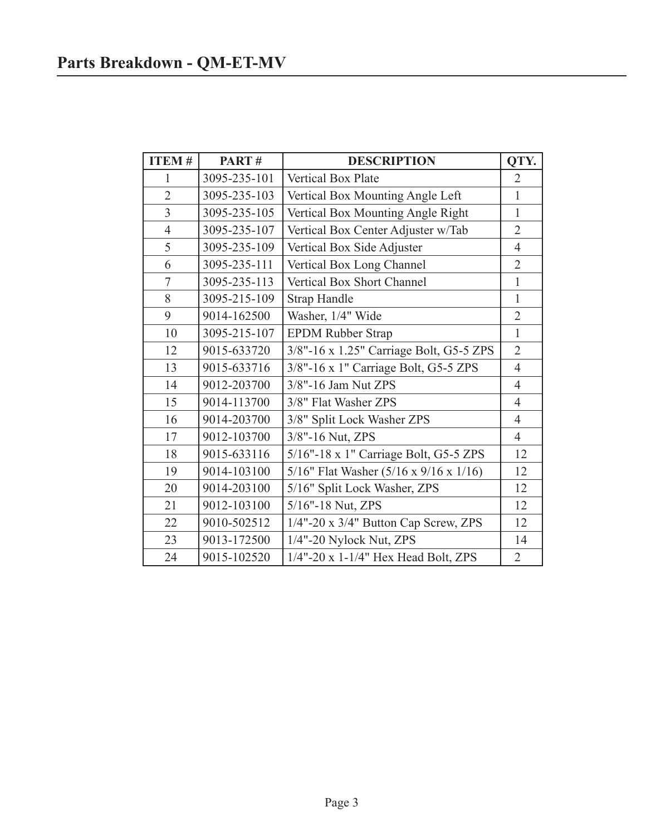| <b>ITEM#</b>   | PART#        | <b>DESCRIPTION</b>                                 | QTY.           |
|----------------|--------------|----------------------------------------------------|----------------|
| $\mathbf{1}$   | 3095-235-101 | Vertical Box Plate                                 | $\overline{2}$ |
| $\overline{2}$ | 3095-235-103 | Vertical Box Mounting Angle Left                   | $\mathbf{1}$   |
| $\overline{3}$ | 3095-235-105 | Vertical Box Mounting Angle Right                  | $\mathbf{1}$   |
| $\overline{4}$ | 3095-235-107 | Vertical Box Center Adjuster w/Tab                 | $\overline{2}$ |
| 5              | 3095-235-109 | Vertical Box Side Adjuster                         | $\overline{4}$ |
| 6              | 3095-235-111 | Vertical Box Long Channel                          | $\overline{2}$ |
| $\overline{7}$ | 3095-235-113 | Vertical Box Short Channel                         | $\mathbf{1}$   |
| 8              | 3095-215-109 | <b>Strap Handle</b>                                | $\mathbf{1}$   |
| 9              | 9014-162500  | Washer, 1/4" Wide                                  | $\overline{2}$ |
| 10             | 3095-215-107 | <b>EPDM Rubber Strap</b>                           | $\mathbf{1}$   |
| 12             | 9015-633720  | 3/8"-16 x 1.25" Carriage Bolt, G5-5 ZPS            | $\overline{2}$ |
| 13             | 9015-633716  | 3/8"-16 x 1" Carriage Bolt, G5-5 ZPS               | $\overline{4}$ |
| 14             | 9012-203700  | 3/8"-16 Jam Nut ZPS                                | $\overline{4}$ |
| 15             | 9014-113700  | 3/8" Flat Washer ZPS                               | 4              |
| 16             | 9014-203700  | 3/8" Split Lock Washer ZPS                         | $\overline{4}$ |
| 17             | 9012-103700  | 3/8"-16 Nut, ZPS                                   | $\overline{4}$ |
| 18             | 9015-633116  | 5/16"-18 x 1" Carriage Bolt, G5-5 ZPS              | 12             |
| 19             | 9014-103100  | 5/16" Flat Washer $(5/16 \times 9/16 \times 1/16)$ | 12             |
| 20             | 9014-203100  | 5/16" Split Lock Washer, ZPS                       | 12             |
| 21             | 9012-103100  | 5/16"-18 Nut, ZPS                                  | 12             |
| 22             | 9010-502512  | 1/4"-20 x 3/4" Button Cap Screw, ZPS               | 12             |
| 23             | 9013-172500  | 1/4"-20 Nylock Nut, ZPS                            | 14             |
| 24             | 9015-102520  | 1/4"-20 x 1-1/4" Hex Head Bolt, ZPS                | $\overline{2}$ |